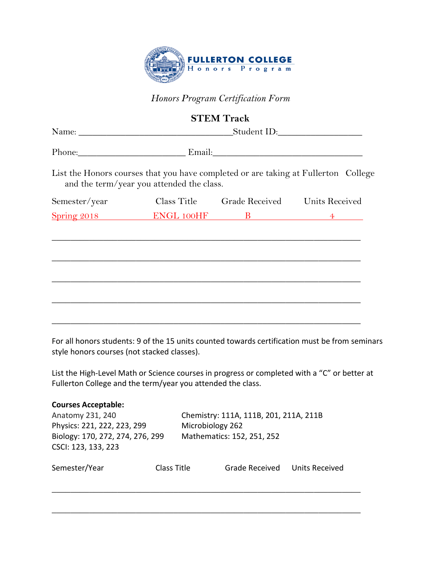

## *Honors Program Certification Form*

|               |                                           | <b>STEM Track</b>                         |                                                                                    |
|---------------|-------------------------------------------|-------------------------------------------|------------------------------------------------------------------------------------|
|               |                                           |                                           |                                                                                    |
|               | Phone: Email: Email:                      |                                           |                                                                                    |
|               | and the term/year you attended the class. |                                           | List the Honors courses that you have completed or are taking at Fullerton College |
| Semester/year |                                           | Class Title Grade Received Units Received |                                                                                    |
|               | $Spring 2018$ ENGL 100HF B 4              |                                           |                                                                                    |
|               |                                           |                                           |                                                                                    |
|               |                                           |                                           |                                                                                    |
|               |                                           |                                           |                                                                                    |
|               |                                           |                                           |                                                                                    |
|               |                                           |                                           |                                                                                    |
|               |                                           |                                           |                                                                                    |
|               |                                           |                                           |                                                                                    |

For all honors students: 9 of the 15 units counted towards certification must be from seminars style honors courses (not stacked classes).

List the High-Level Math or Science courses in progress or completed with a "C" or better at Fullerton College and the term/year you attended the class.

| <b>Courses Acceptable:</b>       |             |                                        |                            |                       |  |
|----------------------------------|-------------|----------------------------------------|----------------------------|-----------------------|--|
| Anatomy 231, 240                 |             | Chemistry: 111A, 111B, 201, 211A, 211B |                            |                       |  |
| Physics: 221, 222, 223, 299      |             |                                        | Microbiology 262           |                       |  |
| Biology: 170, 272, 274, 276, 299 |             |                                        | Mathematics: 152, 251, 252 |                       |  |
| CSCI: 123, 133, 223              |             |                                        |                            |                       |  |
| Semester/Year                    | Class Title |                                        | Grade Received             | <b>Units Received</b> |  |
|                                  |             |                                        |                            |                       |  |

 $\overline{\phantom{a}}$  , and the contract of the contract of the contract of the contract of the contract of the contract of the contract of the contract of the contract of the contract of the contract of the contract of the contrac